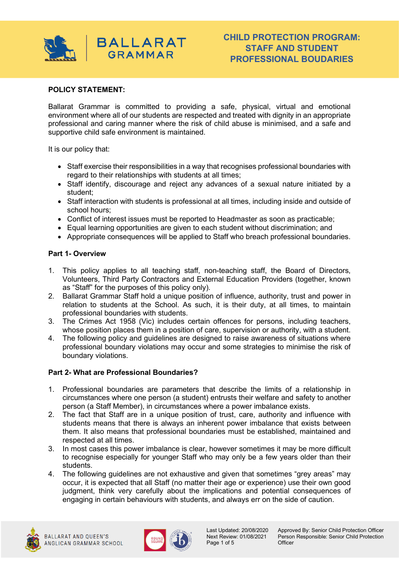

## **POLICY STATEMENT:**

Ballarat Grammar is committed to providing a safe, physical, virtual and emotional environment where all of our students are respected and treated with dignity in an appropriate professional and caring manner where the risk of child abuse is minimised, and a safe and supportive child safe environment is maintained.

It is our policy that:

- Staff exercise their responsibilities in a way that recognises professional boundaries with regard to their relationships with students at all times;
- Staff identify, discourage and reject any advances of a sexual nature initiated by a student;
- Staff interaction with students is professional at all times, including inside and outside of school hours;
- Conflict of interest issues must be reported to Headmaster as soon as practicable;
- Equal learning opportunities are given to each student without discrimination; and
- Appropriate consequences will be applied to Staff who breach professional boundaries.

## **Part 1- Overview**

- 1. This policy applies to all teaching staff, non-teaching staff, the Board of Directors, Volunteers, Third Party Contractors and External Education Providers (together, known as "Staff" for the purposes of this policy only).
- 2. Ballarat Grammar Staff hold a unique position of influence, authority, trust and power in relation to students at the School. As such, it is their duty, at all times, to maintain professional boundaries with students.
- 3. The Crimes Act 1958 (Vic) includes certain offences for persons, including teachers, whose position places them in a position of care, supervision or authority, with a student.
- 4. The following policy and guidelines are designed to raise awareness of situations where professional boundary violations may occur and some strategies to minimise the risk of boundary violations.

## **Part 2- What are Professional Boundaries?**

- 1. Professional boundaries are parameters that describe the limits of a relationship in circumstances where one person (a student) entrusts their welfare and safety to another person (a Staff Member), in circumstances where a power imbalance exists.
- 2. The fact that Staff are in a unique position of trust, care, authority and influence with students means that there is always an inherent power imbalance that exists between them. It also means that professional boundaries must be established, maintained and respected at all times.
- 3. In most cases this power imbalance is clear, however sometimes it may be more difficult to recognise especially for younger Staff who may only be a few years older than their students.
- 4. The following guidelines are not exhaustive and given that sometimes "grey areas" may occur, it is expected that all Staff (no matter their age or experience) use their own good judgment, think very carefully about the implications and potential consequences of engaging in certain behaviours with students, and always err on the side of caution.





Page 1 of 5 Officer

Last Updated: 20/08/2020 Approved By: Senior Child Protection Officer<br>Next Review: 01/08/2021 Person Responsible: Senior Child Protection Person Responsible: Senior Child Protection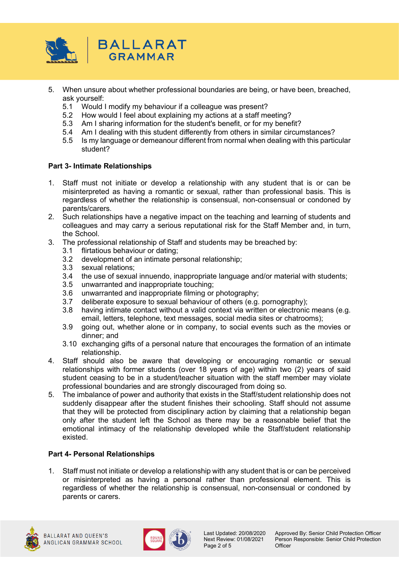

- 5. When unsure about whether professional boundaries are being, or have been, breached, ask yourself:
	- 5.1 Would I modify my behaviour if a colleague was present?
	- 5.2 How would I feel about explaining my actions at a staff meeting?
	- 5.3 Am I sharing information for the student's benefit, or for my benefit?
	- 5.4 Am I dealing with this student differently from others in similar circumstances?
	- 5.5 Is my language or demeanour different from normal when dealing with this particular student?

## **Part 3- Intimate Relationships**

- 1. Staff must not initiate or develop a relationship with any student that is or can be misinterpreted as having a romantic or sexual, rather than professional basis. This is regardless of whether the relationship is consensual, non-consensual or condoned by parents/carers.
- 2. Such relationships have a negative impact on the teaching and learning of students and colleagues and may carry a serious reputational risk for the Staff Member and, in turn, the School.
- 3. The professional relationship of Staff and students may be breached by:
	- 3.1 flirtatious behaviour or dating;
	- 3.2 development of an intimate personal relationship;
	- 3.3 sexual relations;
	- 3.4 the use of sexual innuendo, inappropriate language and/or material with students;
	- 3.5 unwarranted and inappropriate touching;
	- 3.6 unwarranted and inappropriate filming or photography;
	- 3.7 deliberate exposure to sexual behaviour of others (e.g. pornography);
	- 3.8 having intimate contact without a valid context via written or electronic means (e.g. email, letters, telephone, text messages, social media sites or chatrooms);
	- 3.9 going out, whether alone or in company, to social events such as the movies or dinner; and
	- 3.10 exchanging gifts of a personal nature that encourages the formation of an intimate relationship.
- 4. Staff should also be aware that developing or encouraging romantic or sexual relationships with former students (over 18 years of age) within two (2) years of said student ceasing to be in a student/teacher situation with the staff member may violate professional boundaries and are strongly discouraged from doing so.
- 5. The imbalance of power and authority that exists in the Staff/student relationship does not suddenly disappear after the student finishes their schooling. Staff should not assume that they will be protected from disciplinary action by claiming that a relationship began only after the student left the School as there may be a reasonable belief that the emotional intimacy of the relationship developed while the Staff/student relationship existed.

# **Part 4- Personal Relationships**

1. Staff must not initiate or develop a relationship with any student that is or can be perceived or misinterpreted as having a personal rather than professional element. This is regardless of whether the relationship is consensual, non-consensual or condoned by parents or carers.





Page 2 of 5

Last Updated: 20/08/2020 Approved By: Senior Child Protection Officer<br>Next Review: 01/08/2021 Person Responsible: Senior Child Protection Person Responsible: Senior Child Protection<br>Officer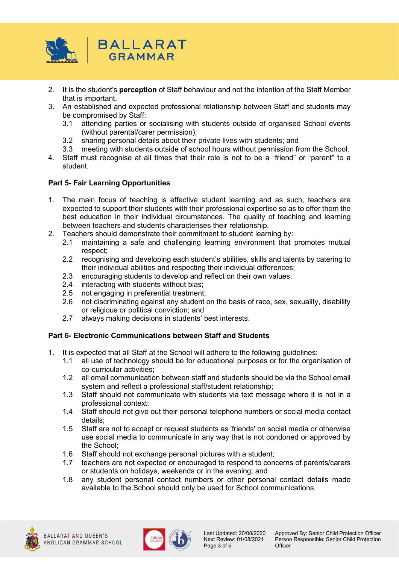

- 2. It is the student's **perception** of Staff behaviour and not the intention of the Staff Member that is important.
- 3. An established and expected professional relationship between Staff and students may be compromised by Staff:
	- 3.1 attending parties or socialising with students outside of organised School events (without parental/carer permission);
	- 3.2 sharing personal details about their private lives with students; and
	- 3.3 meeting with students outside of school hours without permission from the School.
- 4. Staff must recognise at all times that their role is not to be a "friend" or "parent" to a student.

## **Part 5- Fair Learning Opportunities**

- 1. The main focus of teaching is effective student learning and as such, teachers are expected to support their students with their professional expertise so as to offer them the best education in their individual circumstances. The quality of teaching and learning between teachers and students characterises their relationship.
- 2. Teachers should demonstrate their commitment to student learning by:
	- 2.1 maintaining a safe and challenging learning environment that promotes mutual respect;
	- 2.2 recognising and developing each student's abilities, skills and talents by catering to their individual abilities and respecting their individual differences;
	- 2.3 encouraging students to develop and reflect on their own values;
	- 2.4 interacting with students without bias;
	- 2.5 not engaging in preferential treatment;
	- 2.6 not discriminating against any student on the basis of race, sex, sexuality, disability or religious or political conviction; and
	- 2.7 always making decisions in students' best interests.

## **Part 6- Electronic Communications between Staff and Students**

- 1. It is expected that all Staff at the School will adhere to the following guidelines:
	- 1.1 all use of technology should be for educational purposes or for the organisation of co-curricular activities;
	- 1.2 all email communication between staff and students should be via the School email system and reflect a professional staff/student relationship;
	- 1.3 Staff should not communicate with students via text message where it is not in a professional context;
	- 1.4 Staff should not give out their personal telephone numbers or social media contact details;
	- 1.5 Staff are not to accept or request students as 'friends' on social media or otherwise use social media to communicate in any way that is not condoned or approved by the School;
	- 1.6 Staff should not exchange personal pictures with a student;
	- 1.7 teachers are not expected or encouraged to respond to concerns of parents/carers or students on holidays, weekends or in the evening; and
	- 1.8 any student personal contact numbers or other personal contact details made available to the School should only be used for School communications.





Page 3 of 5

Last Updated: 20/08/2020 Approved By: Senior Child Protection Officer<br>Next Review: 01/08/2021 Person Responsible: Senior Child Protection Person Responsible: Senior Child Protection<br>Officer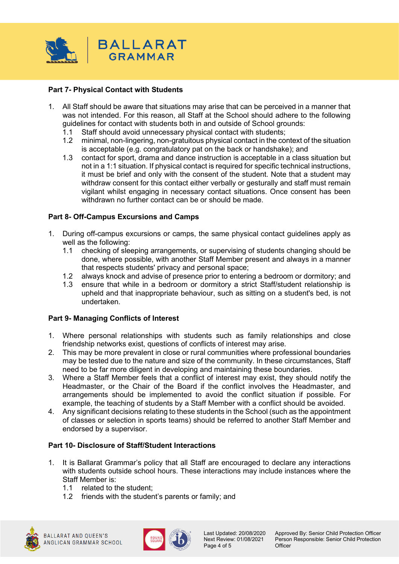

# **Part 7- Physical Contact with Students**

- 1. All Staff should be aware that situations may arise that can be perceived in a manner that was not intended. For this reason, all Staff at the School should adhere to the following guidelines for contact with students both in and outside of School grounds:
	- 1.1 Staff should avoid unnecessary physical contact with students;
	- 1.2 minimal, non-lingering, non-gratuitous physical contact in the context of the situation is acceptable (e.g. congratulatory pat on the back or handshake); and
	- 1.3 contact for sport, drama and dance instruction is acceptable in a class situation but not in a 1:1 situation. If physical contact is required for specific technical instructions, it must be brief and only with the consent of the student. Note that a student may withdraw consent for this contact either verbally or gesturally and staff must remain vigilant whilst engaging in necessary contact situations. Once consent has been withdrawn no further contact can be or should be made.

## **Part 8- Off-Campus Excursions and Camps**

- 1. During off-campus excursions or camps, the same physical contact guidelines apply as well as the following:
	- 1.1 checking of sleeping arrangements, or supervising of students changing should be done, where possible, with another Staff Member present and always in a manner that respects students' privacy and personal space;
	- 1.2 always knock and advise of presence prior to entering a bedroom or dormitory; and
	- 1.3 ensure that while in a bedroom or dormitory a strict Staff/student relationship is upheld and that inappropriate behaviour, such as sitting on a student's bed, is not undertaken.

## **Part 9- Managing Conflicts of Interest**

- 1. Where personal relationships with students such as family relationships and close friendship networks exist, questions of conflicts of interest may arise.
- 2. This may be more prevalent in close or rural communities where professional boundaries may be tested due to the nature and size of the community. In these circumstances, Staff need to be far more diligent in developing and maintaining these boundaries.
- 3. Where a Staff Member feels that a conflict of interest may exist, they should notify the Headmaster, or the Chair of the Board if the conflict involves the Headmaster, and arrangements should be implemented to avoid the conflict situation if possible. For example, the teaching of students by a Staff Member with a conflict should be avoided.
- 4. Any significant decisions relating to these students in the School (such as the appointment of classes or selection in sports teams) should be referred to another Staff Member and endorsed by a supervisor.

## **Part 10- Disclosure of Staff/Student Interactions**

- 1. It is Ballarat Grammar's policy that all Staff are encouraged to declare any interactions with students outside school hours. These interactions may include instances where the Staff Member is:
	- 1.1 related to the student;
	- 1.2 friends with the student's parents or family; and





Page 4 of 5

Last Updated: 20/08/2020 Approved By: Senior Child Protection Officer<br>Next Review: 01/08/2021 Person Responsible: Senior Child Protection Person Responsible: Senior Child Protection<br>Officer